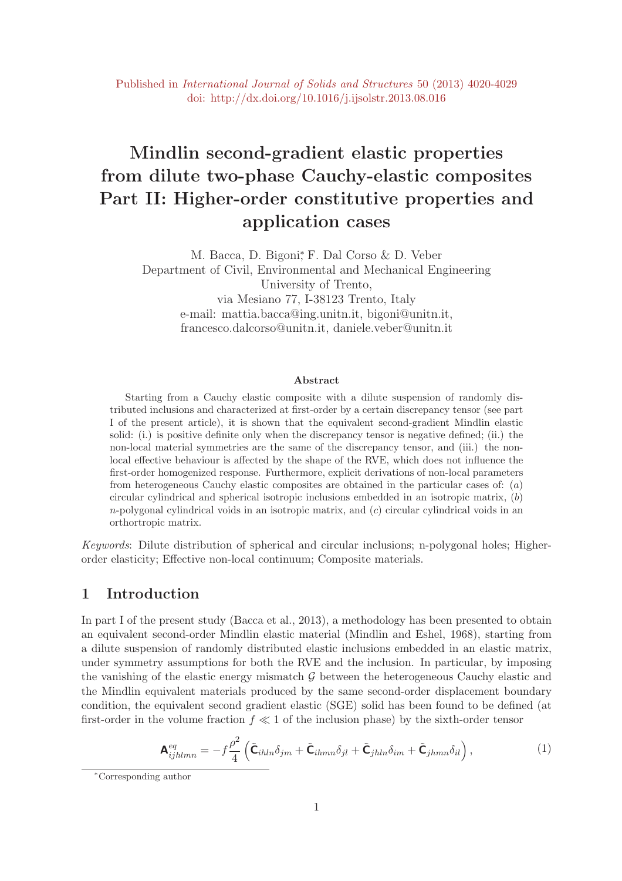# Mindlin second-gradient elastic properties from dilute two-phase Cauchy-elastic composites Part II: Higher-order constitutive properties and application cases

M. Bacca, D. Bigoni<sup>\*</sup>, F. Dal Corso & D. Veber Department of Civil, Environmental and Mechanical Engineering University of Trento, via Mesiano 77, I-38123 Trento, Italy e-mail: mattia.bacca@ing.unitn.it, bigoni@unitn.it, francesco.dalcorso@unitn.it, daniele.veber@unitn.it

#### Abstract

Starting from a Cauchy elastic composite with a dilute suspension of randomly distributed inclusions and characterized at first-order by a certain discrepancy tensor (see part I of the present article), it is shown that the equivalent second-gradient Mindlin elastic solid: (i.) is positive definite only when the discrepancy tensor is negative defined; (ii.) the non-local material symmetries are the same of the discrepancy tensor, and (iii.) the nonlocal effective behaviour is affected by the shape of the RVE, which does not influence the first-order homogenized response. Furthermore, explicit derivations of non-local parameters from heterogeneous Cauchy elastic composites are obtained in the particular cases of: (a) circular cylindrical and spherical isotropic inclusions embedded in an isotropic matrix,  $(b)$  $n$ -polygonal cylindrical voids in an isotropic matrix, and  $(c)$  circular cylindrical voids in an orthortropic matrix.

Keywords: Dilute distribution of spherical and circular inclusions; n-polygonal holes; Higherorder elasticity; Effective non-local continuum; Composite materials.

### 1 Introduction

In part I of the present study (Bacca et al., 2013), a methodology has been presented to obtain an equivalent second-order Mindlin elastic material (Mindlin and Eshel, 1968), starting from a dilute suspension of randomly distributed elastic inclusions embedded in an elastic matrix, under symmetry assumptions for both the RVE and the inclusion. In particular, by imposing the vanishing of the elastic energy mismatch  $\mathcal G$  between the heterogeneous Cauchy elastic and the Mindlin equivalent materials produced by the same second-order displacement boundary condition, the equivalent second gradient elastic (SGE) solid has been found to be defined (at first-order in the volume fraction  $f \ll 1$  of the inclusion phase) by the sixth-order tensor

$$
\mathbf{A}_{ijhlmn}^{eq} = -f\frac{\rho^2}{4} \left( \tilde{\mathbf{C}}_{ihln}\delta_{jm} + \tilde{\mathbf{C}}_{ihmn}\delta_{jl} + \tilde{\mathbf{C}}_{jhln}\delta_{im} + \tilde{\mathbf{C}}_{jhmn}\delta_{il} \right),\tag{1}
$$

<sup>∗</sup>Corresponding author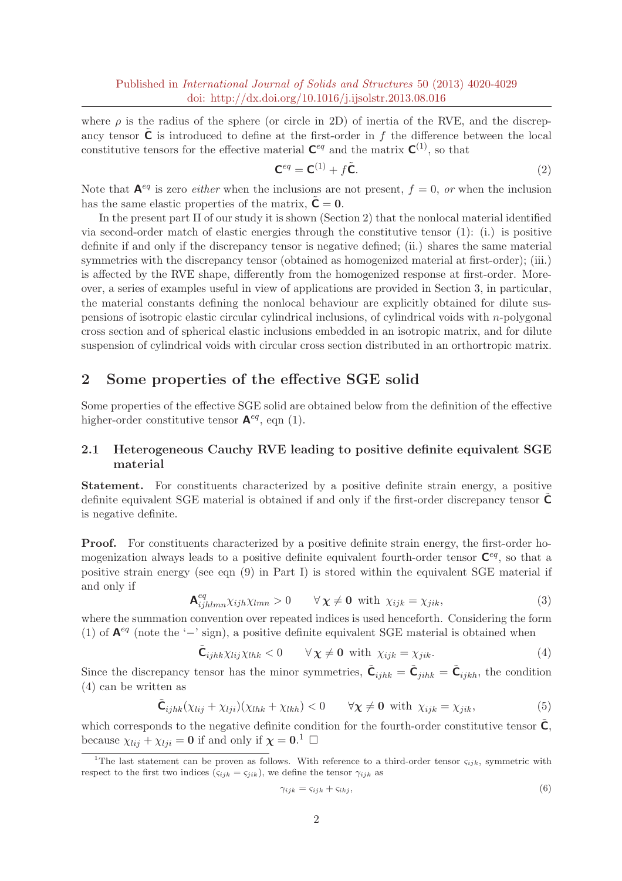where  $\rho$  is the radius of the sphere (or circle in 2D) of inertia of the RVE, and the discrepancy tensor  $\tilde{C}$  is introduced to define at the first-order in f the difference between the local constitutive tensors for the effective material  $\mathbf{C}^{eq}$  and the matrix  $\mathbf{C}^{(1)}$ , so that

$$
\mathbf{C}^{eq} = \mathbf{C}^{(1)} + f\tilde{\mathbf{C}}.\tag{2}
$$

Note that  $A^{eq}$  is zero *either* when the inclusions are not present,  $f = 0$ , or when the inclusion has the same elastic properties of the matrix,  $\tilde{\mathbf{C}} = \mathbf{0}$ .

In the present part II of our study it is shown (Section 2) that the nonlocal material identified via second-order match of elastic energies through the constitutive tensor (1): (i.) is positive definite if and only if the discrepancy tensor is negative defined; (ii.) shares the same material symmetries with the discrepancy tensor (obtained as homogenized material at first-order); (iii.) is affected by the RVE shape, differently from the homogenized response at first-order. Moreover, a series of examples useful in view of applications are provided in Section 3, in particular, the material constants defining the nonlocal behaviour are explicitly obtained for dilute suspensions of isotropic elastic circular cylindrical inclusions, of cylindrical voids with n-polygonal cross section and of spherical elastic inclusions embedded in an isotropic matrix, and for dilute suspension of cylindrical voids with circular cross section distributed in an orthortropic matrix.

### 2 Some properties of the effective SGE solid

Some properties of the effective SGE solid are obtained below from the definition of the effective higher-order constitutive tensor  $\mathbf{A}^{eq}$ , eqn (1).

### 2.1 Heterogeneous Cauchy RVE leading to positive definite equivalent SGE material

Statement. For constituents characterized by a positive definite strain energy, a positive definite equivalent SGE material is obtained if and only if the first-order discrepancy tensor  $\tilde{C}$ is negative definite.

Proof. For constituents characterized by a positive definite strain energy, the first-order homogenization always leads to a positive definite equivalent fourth-order tensor  $\mathbf{C}^{eq}$ , so that a positive strain energy (see eqn (9) in Part I) is stored within the equivalent SGE material if and only if

$$
\mathbf{A}_{ijhlmn}^{eq} \chi_{ijh} \chi_{lmn} > 0 \qquad \forall \chi \neq \mathbf{0} \text{ with } \chi_{ijk} = \chi_{jik}, \tag{3}
$$

where the summation convention over repeated indices is used henceforth. Considering the form (1) of  ${\bf A}^{eq}$  (note the '−' sign), a positive definite equivalent SGE material is obtained when

$$
\tilde{\mathbf{C}}_{ijhk}\chi_{lij}\chi_{lhk} < 0 \qquad \forall \chi \neq \mathbf{0} \text{ with } \chi_{ijk} = \chi_{jik}.\tag{4}
$$

Since the discrepancy tensor has the minor symmetries,  $\tilde{\mathbf{C}}_{ijhk} = \tilde{\mathbf{C}}_{jihk} = \tilde{\mathbf{C}}_{ijkh}$ , the condition (4) can be written as

$$
\tilde{\mathbf{C}}_{ijhk}(\chi_{lij} + \chi_{lji})(\chi_{lhk} + \chi_{lkh}) < 0 \qquad \forall \chi \neq \mathbf{0} \text{ with } \chi_{ijk} = \chi_{jik}, \tag{5}
$$

which corresponds to the negative definite condition for the fourth-order constitutive tensor  $\tilde{\mathsf{C}}$ , because  $\chi_{lij} + \chi_{lji} = 0$  if and only if  $\chi = 0.1$   $\Box$ 

$$
\gamma_{ijk} = \zeta_{ijk} + \zeta_{ikj},\tag{6}
$$

<sup>&</sup>lt;sup>1</sup>The last statement can be proven as follows. With reference to a third-order tensor  $\varsigma_{ijk}$ , symmetric with respect to the first two indices  $(\varsigma_{ijk} = \varsigma_{jik})$ , we define the tensor  $\gamma_{ijk}$  as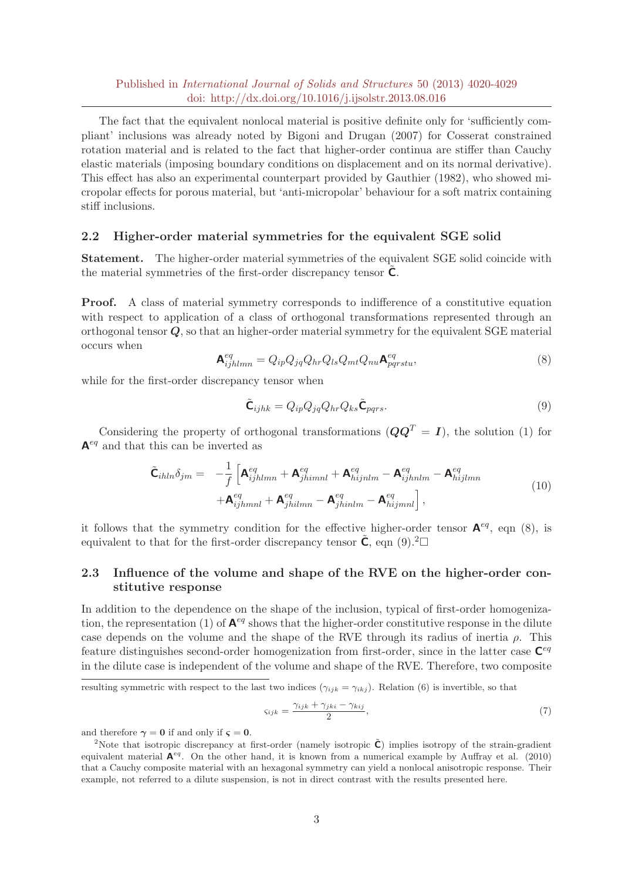The fact that the equivalent nonlocal material is positive definite only for 'sufficiently compliant' inclusions was already noted by Bigoni and Drugan (2007) for Cosserat constrained rotation material and is related to the fact that higher-order continua are stiffer than Cauchy elastic materials (imposing boundary conditions on displacement and on its normal derivative). This effect has also an experimental counterpart provided by Gauthier (1982), who showed micropolar effects for porous material, but 'anti-micropolar' behaviour for a soft matrix containing stiff inclusions.

#### 2.2 Higher-order material symmetries for the equivalent SGE solid

Statement. The higher-order material symmetries of the equivalent SGE solid coincide with the material symmetries of the first-order discrepancy tensor  $\mathsf{C}$ .

Proof. A class of material symmetry corresponds to indifference of a constitutive equation with respect to application of a class of orthogonal transformations represented through an orthogonal tensor  $Q$ , so that an higher-order material symmetry for the equivalent  $SGE$  material occurs when

$$
\mathbf{A}_{ijhlmn}^{eq} = Q_{ip}Q_{jq}Q_{hr}Q_{ls}Q_{mt}Q_{nu}\mathbf{A}_{pqrstu}^{eq},\tag{8}
$$

while for the first-order discrepancy tensor when

$$
\tilde{\mathbf{C}}_{ijhk} = Q_{ip} Q_{jq} Q_{hr} Q_{ks} \tilde{\mathbf{C}}_{pqrs}.
$$
\n(9)

Considering the property of orthogonal transformations  $(QQ^T = I)$ , the solution (1) for  ${\mathsf A}^{eq}$  and that this can be inverted as

$$
\tilde{\mathbf{C}}_{ihln}\delta_{jm} = -\frac{1}{f} \left[ \mathbf{A}_{ijhlmn}^{eq} + \mathbf{A}_{jhimnl}^{eq} + \mathbf{A}_{hijnlm}^{eq} - \mathbf{A}_{ijhnlm}^{eq} - \mathbf{A}_{hijlmn}^{eq} \right] \n+ \mathbf{A}_{ijhmnl}^{eq} + \mathbf{A}_{jhiilmn}^{eq} - \mathbf{A}_{jhinlm}^{eq} - \mathbf{A}_{hijmnl}^{eq} \right],
$$
\n(10)

it follows that the symmetry condition for the effective higher-order tensor  $\mathbf{A}^{eq}$ , eqn (8), is equivalent to that for the first-order discrepancy tensor  $\tilde{\mathsf{C}}$ , eqn (9).<sup>2</sup> $\Box$ 

### 2.3 Influence of the volume and shape of the RVE on the higher-order constitutive response

In addition to the dependence on the shape of the inclusion, typical of first-order homogenization, the representation (1) of  $\mathbf{A}^{eq}$  shows that the higher-order constitutive response in the dilute case depends on the volume and the shape of the RVE through its radius of inertia  $\rho$ . This feature distinguishes second-order homogenization from first-order, since in the latter case  $\mathbf{C}^{eq}$ in the dilute case is independent of the volume and shape of the RVE. Therefore, two composite

resulting symmetric with respect to the last two indices  $(\gamma_{ijk} = \gamma_{ikj})$ . Relation (6) is invertible, so that

$$
\varsigma_{ijk} = \frac{\gamma_{ijk} + \gamma_{jki} - \gamma_{kij}}{2},\tag{7}
$$

and therefore  $\gamma = 0$  if and only if  $\varsigma = 0$ .

<sup>&</sup>lt;sup>2</sup>Note that isotropic discrepancy at first-order (namely isotropic  $\tilde{C}$ ) implies isotropy of the strain-gradient equivalent material  $A^{eq}$ . On the other hand, it is known from a numerical example by Auffray et al. (2010) that a Cauchy composite material with an hexagonal symmetry can yield a nonlocal anisotropic response. Their example, not referred to a dilute suspension, is not in direct contrast with the results presented here.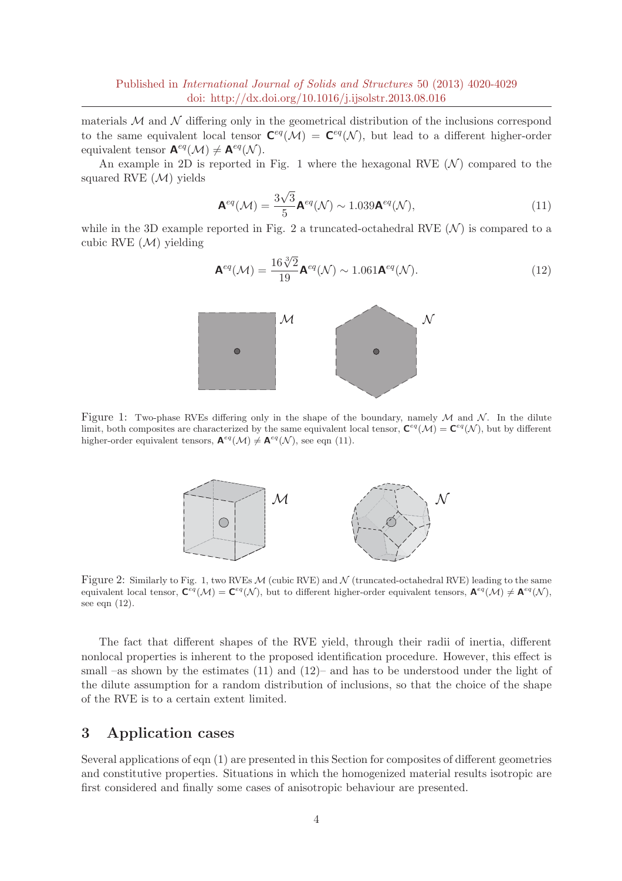materials  $\mathcal M$  and  $\mathcal N$  differing only in the geometrical distribution of the inclusions correspond to the same equivalent local tensor  $\mathbf{C}^{eq}(\mathcal{M}) = \mathbf{C}^{eq}(\mathcal{N})$ , but lead to a different higher-order equivalent tensor  $\mathbf{A}^{eq}(\mathcal{M}) \neq \mathbf{A}^{eq}(\mathcal{N})$ .

An example in 2D is reported in Fig. 1 where the hexagonal RVE  $(N)$  compared to the squared RVE  $(\mathcal{M})$  yields

$$
\mathbf{A}^{eq}(\mathcal{M}) = \frac{3\sqrt{3}}{5} \mathbf{A}^{eq}(\mathcal{N}) \sim 1.039 \mathbf{A}^{eq}(\mathcal{N}),
$$
\n(11)

while in the 3D example reported in Fig. 2 a truncated-octahedral RVE  $(N)$  is compared to a cubic RVE  $(\mathcal{M})$  yielding

$$
\mathbf{A}^{eq}(\mathcal{M}) = \frac{16\sqrt[3]{2}}{19} \mathbf{A}^{eq}(\mathcal{N}) \sim 1.061 \mathbf{A}^{eq}(\mathcal{N}).
$$
\n(12)



Figure 1: Two-phase RVEs differing only in the shape of the boundary, namely  $M$  and  $N$ . In the dilute limit, both composites are characterized by the same equivalent local tensor,  $\mathbf{C}^{eq}(\mathcal{M}) = \mathbf{C}^{eq}(\mathcal{N})$ , but by different higher-order equivalent tensors,  $\mathbf{A}^{eq}(\mathcal{M}) \neq \mathbf{A}^{eq}(\mathcal{N})$ , see eqn (11).



Figure 2: Similarly to Fig. 1, two RVEs  $\mathcal{M}$  (cubic RVE) and  $\mathcal{N}$  (truncated-octahedral RVE) leading to the same equivalent local tensor,  $\mathbf{C}^{eq}(\mathcal{M}) = \mathbf{C}^{eq}(\mathcal{N})$ , but to different higher-order equivalent tensors,  $\mathbf{A}^{eq}(\mathcal{M}) \neq \mathbf{A}^{eq}(\mathcal{N})$ , see eqn (12).

The fact that different shapes of the RVE yield, through their radii of inertia, different nonlocal properties is inherent to the proposed identification procedure. However, this effect is small –as shown by the estimates  $(11)$  and  $(12)$ – and has to be understood under the light of the dilute assumption for a random distribution of inclusions, so that the choice of the shape of the RVE is to a certain extent limited.

### 3 Application cases

Several applications of eqn (1) are presented in this Section for composites of different geometries and constitutive properties. Situations in which the homogenized material results isotropic are first considered and finally some cases of anisotropic behaviour are presented.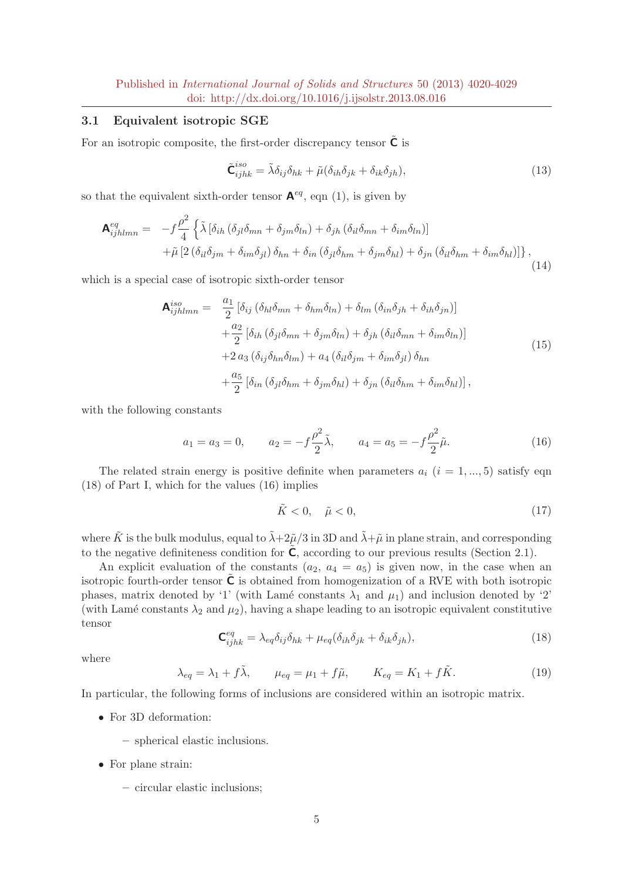### 3.1 Equivalent isotropic SGE

For an isotropic composite, the first-order discrepancy tensor  $\tilde{\mathsf{C}}$  is

$$
\tilde{\mathbf{C}}_{ijhk}^{iso} = \tilde{\lambda} \delta_{ij} \delta_{hk} + \tilde{\mu} (\delta_{ih} \delta_{jk} + \delta_{ik} \delta_{jh}), \qquad (13)
$$

so that the equivalent sixth-order tensor  $\mathbf{A}^{eq}$ , eqn (1), is given by

$$
\mathbf{A}_{ijhlmn}^{eq} = -f\frac{\rho^2}{4} \left\{ \tilde{\lambda} \left[ \delta_{ih} \left( \delta_{jl} \delta_{mn} + \delta_{jm} \delta_{ln} \right) + \delta_{jh} \left( \delta_{il} \delta_{mn} + \delta_{im} \delta_{ln} \right) \right] \right. \\ \left. + \tilde{\mu} \left[ 2 \left( \delta_{il} \delta_{jm} + \delta_{im} \delta_{jl} \right) \delta_{hn} + \delta_{in} \left( \delta_{jl} \delta_{hm} + \delta_{jm} \delta_{hl} \right) + \delta_{jn} \left( \delta_{il} \delta_{hm} + \delta_{im} \delta_{hl} \right) \right] \right\}, \tag{14}
$$

which is a special case of isotropic sixth-order tensor

$$
\mathbf{A}_{ijhlmn}^{iso} = \frac{a_1}{2} [\delta_{ij} (\delta_{hl}\delta_{mn} + \delta_{hm}\delta_{ln}) + \delta_{lm} (\delta_{in}\delta_{jh} + \delta_{ih}\delta_{jn})]
$$
  
+ 
$$
\frac{a_2}{2} [\delta_{ih} (\delta_{jl}\delta_{mn} + \delta_{jm}\delta_{ln}) + \delta_{jh} (\delta_{il}\delta_{mn} + \delta_{im}\delta_{ln})]
$$
  
+ 
$$
2 a_3 (\delta_{ij}\delta_{hn}\delta_{lm}) + a_4 (\delta_{il}\delta_{jm} + \delta_{im}\delta_{jl}) \delta_{hn}
$$
  
+ 
$$
\frac{a_5}{2} [\delta_{in} (\delta_{jl}\delta_{hm} + \delta_{jm}\delta_{hl}) + \delta_{jn} (\delta_{il}\delta_{hm} + \delta_{im}\delta_{hl})],
$$
  
(15)

with the following constants

$$
a_1 = a_3 = 0,
$$
  $a_2 = -f \frac{\rho^2}{2} \tilde{\lambda},$   $a_4 = a_5 = -f \frac{\rho^2}{2} \tilde{\mu}.$  (16)

The related strain energy is positive definite when parameters  $a_i$   $(i = 1, ..., 5)$  satisfy eqn (18) of Part I, which for the values (16) implies

$$
\tilde{K} < 0, \quad \tilde{\mu} < 0,\tag{17}
$$

where  $\tilde{K}$  is the bulk modulus, equal to  $\tilde{\lambda}+2\tilde{\mu}/3$  in 3D and  $\tilde{\lambda}+\tilde{\mu}$  in plane strain, and corresponding to the negative definiteness condition for  $\tilde{C}$ , according to our previous results (Section 2.1).

An explicit evaluation of the constants  $(a_2, a_4 = a_5)$  is given now, in the case when an isotropic fourth-order tensor  $\tilde{\mathsf{C}}$  is obtained from homogenization of a RVE with both isotropic phases, matrix denoted by '1' (with Lamé constants  $\lambda_1$  and  $\mu_1$ ) and inclusion denoted by '2' (with Lamé constants  $\lambda_2$  and  $\mu_2$ ), having a shape leading to an isotropic equivalent constitutive tensor

$$
\mathbf{C}_{ijhk}^{eq} = \lambda_{eq} \delta_{ij} \delta_{hk} + \mu_{eq} (\delta_{ih} \delta_{jk} + \delta_{ik} \delta_{jh}), \qquad (18)
$$

where

$$
\lambda_{eq} = \lambda_1 + f\tilde{\lambda}, \qquad \mu_{eq} = \mu_1 + f\tilde{\mu}, \qquad K_{eq} = K_1 + f\tilde{K}.
$$
 (19)

In particular, the following forms of inclusions are considered within an isotropic matrix.

- For 3D deformation:
	- spherical elastic inclusions.
- For plane strain:
	- circular elastic inclusions;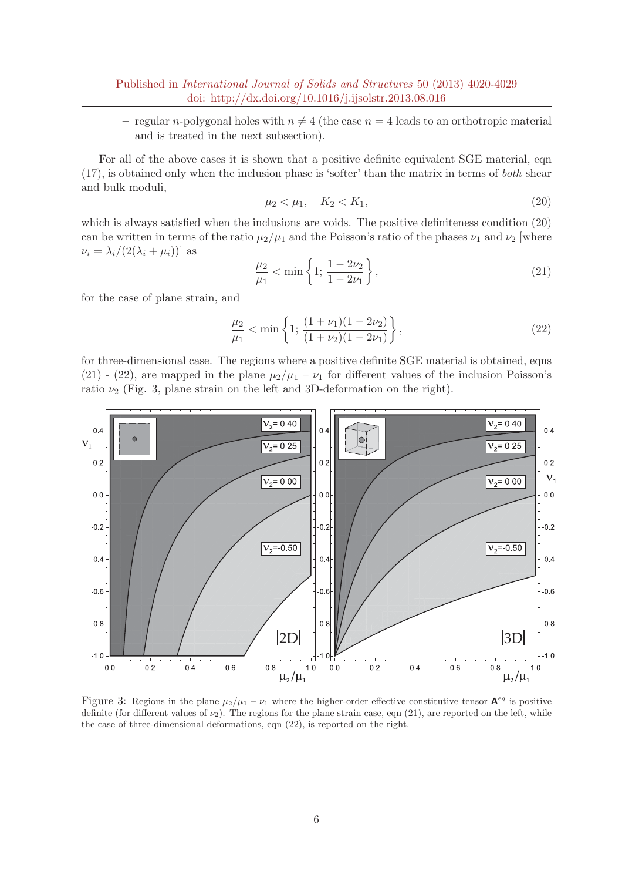– regular *n*-polygonal holes with  $n \neq 4$  (the case  $n = 4$  leads to an orthotropic material and is treated in the next subsection).

For all of the above cases it is shown that a positive definite equivalent SGE material, eqn (17), is obtained only when the inclusion phase is 'softer' than the matrix in terms of both shear and bulk moduli,

$$
\mu_2 < \mu_1, \quad K_2 < K_1,\tag{20}
$$

which is always satisfied when the inclusions are voids. The positive definiteness condition (20) can be written in terms of the ratio  $\mu_2/\mu_1$  and the Poisson's ratio of the phases  $\nu_1$  and  $\nu_2$  [where  $\nu_i = \lambda_i/(2(\lambda_i + \mu_i))$  as

$$
\frac{\mu_2}{\mu_1} < \min\left\{1; \frac{1 - 2\nu_2}{1 - 2\nu_1}\right\},\tag{21}
$$

for the case of plane strain, and

$$
\frac{\mu_2}{\mu_1} < \min\left\{1; \frac{(1+\nu_1)(1-2\nu_2)}{(1+\nu_2)(1-2\nu_1)}\right\},\tag{22}
$$

for three-dimensional case. The regions where a positive definite SGE material is obtained, eqns (21) - (22), are mapped in the plane  $\mu_2/\mu_1 - \nu_1$  for different values of the inclusion Poisson's ratio  $\nu_2$  (Fig. 3, plane strain on the left and 3D-deformation on the right).



Figure 3: Regions in the plane  $\mu_2/\mu_1 - \nu_1$  where the higher-order effective constitutive tensor  $\mathbf{A}^{eq}$  is positive definite (for different values of  $\nu_2$ ). The regions for the plane strain case, eqn (21), are reported on the left, while the case of three-dimensional deformations, eqn (22), is reported on the right.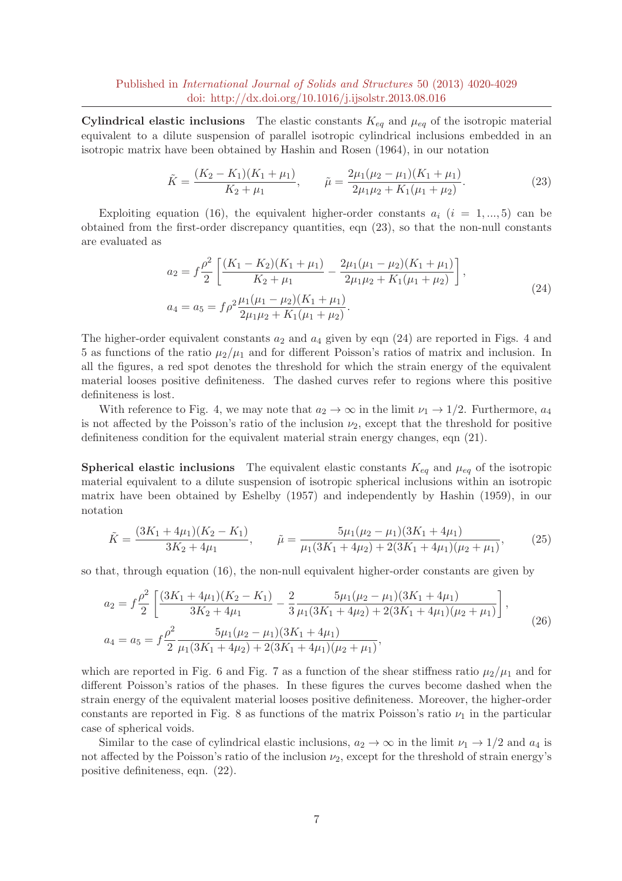Cylindrical elastic inclusions The elastic constants  $K_{eq}$  and  $\mu_{eq}$  of the isotropic material equivalent to a dilute suspension of parallel isotropic cylindrical inclusions embedded in an isotropic matrix have been obtained by Hashin and Rosen (1964), in our notation

$$
\tilde{K} = \frac{(K_2 - K_1)(K_1 + \mu_1)}{K_2 + \mu_1}, \qquad \tilde{\mu} = \frac{2\mu_1(\mu_2 - \mu_1)(K_1 + \mu_1)}{2\mu_1\mu_2 + K_1(\mu_1 + \mu_2)}.
$$
\n(23)

Exploiting equation (16), the equivalent higher-order constants  $a_i$  (i = 1,..., 5) can be obtained from the first-order discrepancy quantities, eqn (23), so that the non-null constants are evaluated as

$$
a_2 = f \frac{\rho^2}{2} \left[ \frac{(K_1 - K_2)(K_1 + \mu_1)}{K_2 + \mu_1} - \frac{2\mu_1(\mu_1 - \mu_2)(K_1 + \mu_1)}{2\mu_1\mu_2 + K_1(\mu_1 + \mu_2)} \right],
$$
  
\n
$$
a_4 = a_5 = f \rho^2 \frac{\mu_1(\mu_1 - \mu_2)(K_1 + \mu_1)}{2\mu_1\mu_2 + K_1(\mu_1 + \mu_2)}.
$$
\n(24)

The higher-order equivalent constants  $a_2$  and  $a_4$  given by eqn (24) are reported in Figs. 4 and 5 as functions of the ratio  $\mu_2/\mu_1$  and for different Poisson's ratios of matrix and inclusion. In all the figures, a red spot denotes the threshold for which the strain energy of the equivalent material looses positive definiteness. The dashed curves refer to regions where this positive definiteness is lost.

With reference to Fig. 4, we may note that  $a_2 \to \infty$  in the limit  $\nu_1 \to 1/2$ . Furthermore,  $a_4$ is not affected by the Poisson's ratio of the inclusion  $\nu_2$ , except that the threshold for positive definiteness condition for the equivalent material strain energy changes, eqn (21).

**Spherical elastic inclusions** The equivalent elastic constants  $K_{eq}$  and  $\mu_{eq}$  of the isotropic material equivalent to a dilute suspension of isotropic spherical inclusions within an isotropic matrix have been obtained by Eshelby (1957) and independently by Hashin (1959), in our notation

$$
\tilde{K} = \frac{(3K_1 + 4\mu_1)(K_2 - K_1)}{3K_2 + 4\mu_1}, \qquad \tilde{\mu} = \frac{5\mu_1(\mu_2 - \mu_1)(3K_1 + 4\mu_1)}{\mu_1(3K_1 + 4\mu_2) + 2(3K_1 + 4\mu_1)(\mu_2 + \mu_1)},\tag{25}
$$

so that, through equation (16), the non-null equivalent higher-order constants are given by

$$
a_2 = f \frac{\rho^2}{2} \left[ \frac{(3K_1 + 4\mu_1)(K_2 - K_1)}{3K_2 + 4\mu_1} - \frac{2}{3} \frac{5\mu_1(\mu_2 - \mu_1)(3K_1 + 4\mu_1)}{\mu_1(3K_1 + 4\mu_2) + 2(3K_1 + 4\mu_1)(\mu_2 + \mu_1)} \right],
$$
  
\n
$$
a_4 = a_5 = f \frac{\rho^2}{2} \frac{5\mu_1(\mu_2 - \mu_1)(3K_1 + 4\mu_1)}{\mu_1(3K_1 + 4\mu_2) + 2(3K_1 + 4\mu_1)(\mu_2 + \mu_1)},
$$
\n(26)

which are reported in Fig. 6 and Fig. 7 as a function of the shear stiffness ratio  $\mu_2/\mu_1$  and for different Poisson's ratios of the phases. In these figures the curves become dashed when the strain energy of the equivalent material looses positive definiteness. Moreover, the higher-order constants are reported in Fig. 8 as functions of the matrix Poisson's ratio  $\nu_1$  in the particular case of spherical voids.

Similar to the case of cylindrical elastic inclusions,  $a_2 \to \infty$  in the limit  $\nu_1 \to 1/2$  and  $a_4$  is not affected by the Poisson's ratio of the inclusion  $\nu_2$ , except for the threshold of strain energy's positive definiteness, eqn. (22).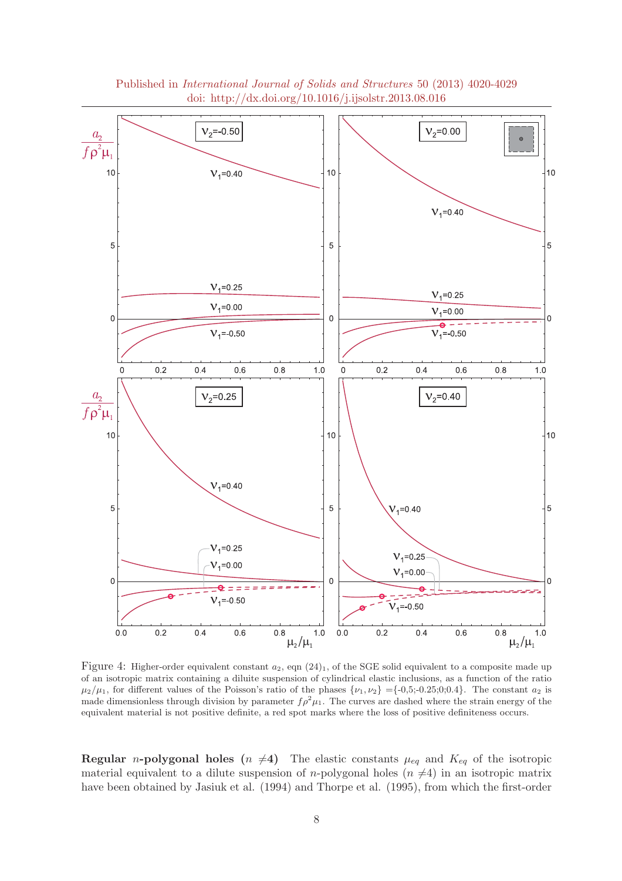

Published in International Journal of Solids and Structures 50 (2013) 4020-4029 doi: http://dx.doi.org/10.1016/j.ijsolstr.2013.08.016

Figure 4: Higher-order equivalent constant  $a_2$ , eqn  $(24)_1$ , of the SGE solid equivalent to a composite made up of an isotropic matrix containing a diluite suspension of cylindrical elastic inclusions, as a function of the ratio  $\mu_2/\mu_1$ , for different values of the Poisson's ratio of the phases  $\{\nu_1, \nu_2\} = \{-0.5; -0.25; 0; 0.4\}$ . The constant  $a_2$  is made dimensionless through division by parameter  $f \rho^2 \mu_1$ . The curves are dashed where the strain energy of the equivalent material is not positive definite, a red spot marks where the loss of positive definiteness occurs.

**Regular** *n***-polygonal holes**  $(n \neq 4)$  The elastic constants  $\mu_{eq}$  and  $K_{eq}$  of the isotropic material equivalent to a dilute suspension of *n*-polygonal holes  $(n \neq 4)$  in an isotropic matrix have been obtained by Jasiuk et al. (1994) and Thorpe et al. (1995), from which the first-order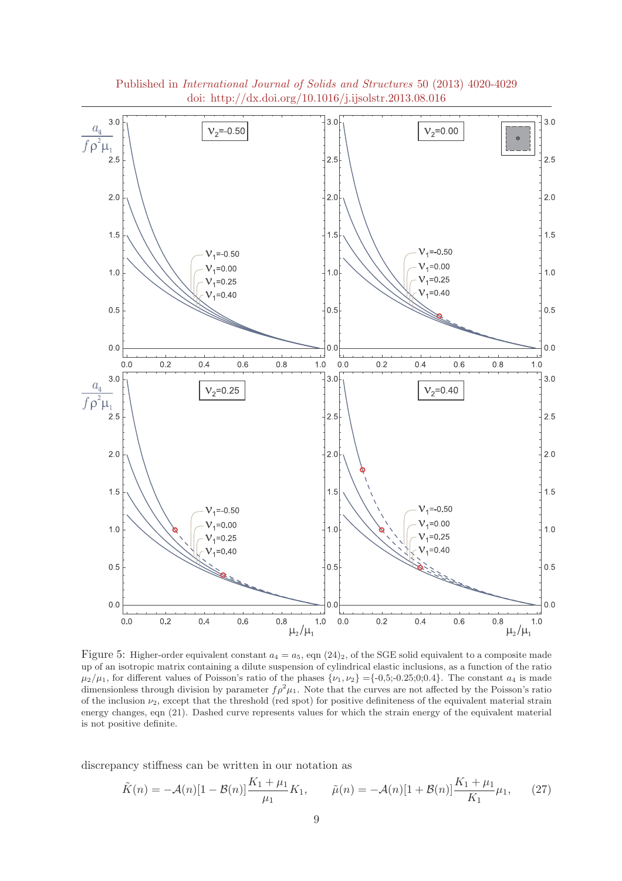

Published in International Journal of Solids and Structures 50 (2013) 4020-4029 doi: http://dx.doi.org/10.1016/j.ijsolstr.2013.08.016

Figure 5: Higher-order equivalent constant  $a_4 = a_5$ , eqn  $(24)_2$ , of the SGE solid equivalent to a composite made up of an isotropic matrix containing a dilute suspension of cylindrical elastic inclusions, as a function of the ratio  $\mu_2/\mu_1$ , for different values of Poisson's ratio of the phases  $\{\nu_1, \nu_2\} = \{-0.5; -0.25; 0; 0.4\}$ . The constant  $a_4$  is made dimensionless through division by parameter  $f \rho^2 \mu_1$ . Note that the curves are not affected by the Poisson's ratio of the inclusion  $\nu_2$ , except that the threshold (red spot) for positive definiteness of the equivalent material strain energy changes, eqn (21). Dashed curve represents values for which the strain energy of the equivalent material is not positive definite.

discrepancy stiffness can be written in our notation as

$$
\tilde{K}(n) = -\mathcal{A}(n)[1 - \mathcal{B}(n)] \frac{K_1 + \mu_1}{\mu_1} K_1, \qquad \tilde{\mu}(n) = -\mathcal{A}(n)[1 + \mathcal{B}(n)] \frac{K_1 + \mu_1}{K_1} \mu_1,\tag{27}
$$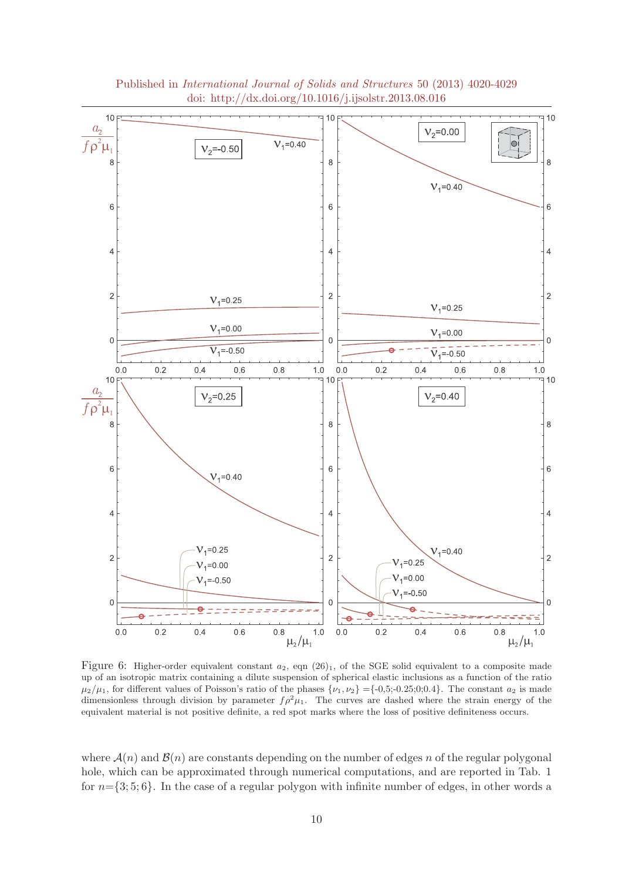

Published in International Journal of Solids and Structures 50 (2013) 4020-4029 doi: http://dx.doi.org/10.1016/j.ijsolstr.2013.08.016

Figure 6: Higher-order equivalent constant  $a_2$ , eqn  $(26)_1$ , of the SGE solid equivalent to a composite made up of an isotropic matrix containing a dilute suspension of spherical elastic inclusions as a function of the ratio  $\mu_2/\mu_1$ , for different values of Poisson's ratio of the phases  $\{\nu_1, \nu_2\} = \{-0.5; -0.25; 0.9; 0.4\}$ . The constant  $a_2$  is made dimensionless through division by parameter  $f \rho^2 \mu_1$ . The curves are dashed where the strain energy of the equivalent material is not positive definite, a red spot marks where the loss of positive definiteness occurs.

where  $\mathcal{A}(n)$  and  $\mathcal{B}(n)$  are constants depending on the number of edges n of the regular polygonal hole, which can be approximated through numerical computations, and are reported in Tab. 1 for  $n=\{3,5,6\}$ . In the case of a regular polygon with infinite number of edges, in other words a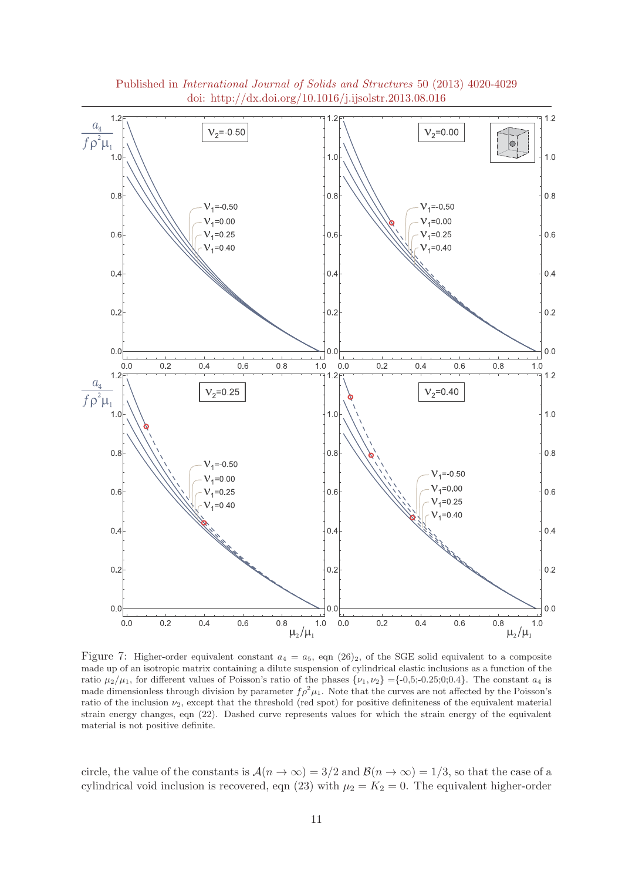

Published in International Journal of Solids and Structures 50 (2013) 4020-4029 doi: http://dx.doi.org/10.1016/j.ijsolstr.2013.08.016

Figure 7: Higher-order equivalent constant  $a_4 = a_5$ , eqn (26)<sub>2</sub>, of the SGE solid equivalent to a composite made up of an isotropic matrix containing a dilute suspension of cylindrical elastic inclusions as a function of the ratio  $\mu_2/\mu_1$ , for different values of Poisson's ratio of the phases  $\{\nu_1, \nu_2\} = \{-0.5; -0.25; 0; 0.4\}$ . The constant  $a_4$  is made dimensionless through division by parameter  $f \rho^2 \mu_1$ . Note that the curves are not affected by the Poisson's ratio of the inclusion  $\nu_2$ , except that the threshold (red spot) for positive definiteness of the equivalent material strain energy changes, eqn (22). Dashed curve represents values for which the strain energy of the equivalent material is not positive definite.

circle, the value of the constants is  $\mathcal{A}(n \to \infty) = 3/2$  and  $\mathcal{B}(n \to \infty) = 1/3$ , so that the case of a cylindrical void inclusion is recovered, eqn (23) with  $\mu_2 = K_2 = 0$ . The equivalent higher-order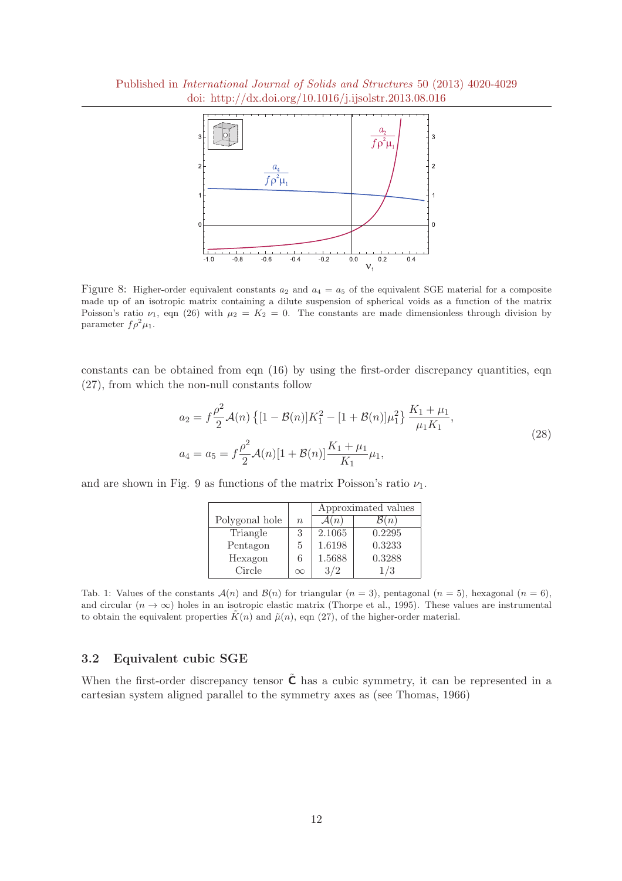

Figure 8: Higher-order equivalent constants  $a_2$  and  $a_4 = a_5$  of the equivalent SGE material for a composite made up of an isotropic matrix containing a dilute suspension of spherical voids as a function of the matrix Poisson's ratio  $\nu_1$ , eqn (26) with  $\mu_2 = K_2 = 0$ . The constants are made dimensionless through division by parameter  $f \rho^2 \mu_1$ .

constants can be obtained from eqn (16) by using the first-order discrepancy quantities, eqn (27), from which the non-null constants follow

$$
a_2 = f\frac{\rho^2}{2}\mathcal{A}(n)\left\{[1-\mathcal{B}(n)]K_1^2 - [1+\mathcal{B}(n)]\mu_1^2\right\}\frac{K_1+\mu_1}{\mu_1K_1},
$$
  
\n
$$
a_4 = a_5 = f\frac{\rho^2}{2}\mathcal{A}(n)[1+\mathcal{B}(n)]\frac{K_1+\mu_1}{K_1}\mu_1,
$$
\n(28)

and are shown in Fig. 9 as functions of the matrix Poisson's ratio  $\nu_1$ .

|                |          | Approximated values |                  |  |
|----------------|----------|---------------------|------------------|--|
| Polygonal hole | $\eta$   | $\mathcal{A}(n)$    | $\mathcal{B}(n)$ |  |
| Triangle       | 3        | 2.1065              | 0.2295           |  |
| Pentagon       | 5        | 1.6198              | 0.3233           |  |
| Hexagon        | 6        | 1.5688              | 0.3288           |  |
| Circle         | $\infty$ |                     |                  |  |

Tab. 1: Values of the constants  $\mathcal{A}(n)$  and  $\mathcal{B}(n)$  for triangular  $(n = 3)$ , pentagonal  $(n = 5)$ , hexagonal  $(n = 6)$ , and circular  $(n \to \infty)$  holes in an isotropic elastic matrix (Thorpe et al., 1995). These values are instrumental to obtain the equivalent properties  $\tilde{K}(n)$  and  $\tilde{\mu}(n)$ , eqn (27), of the higher-order material.

### 3.2 Equivalent cubic SGE

When the first-order discrepancy tensor  $\tilde{\mathbf{C}}$  has a cubic symmetry, it can be represented in a cartesian system aligned parallel to the symmetry axes as (see Thomas, 1966)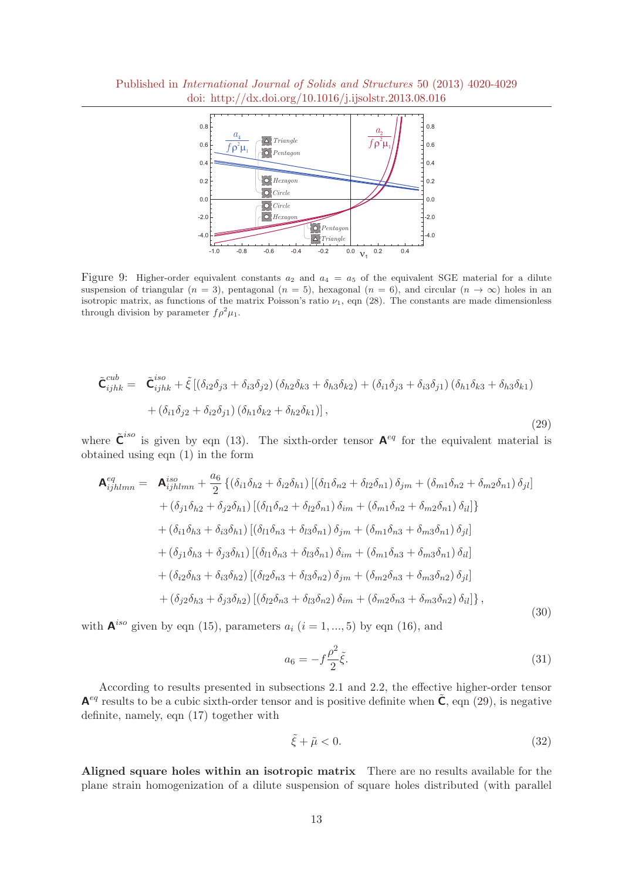

Figure 9: Higher-order equivalent constants  $a_2$  and  $a_4 = a_5$  of the equivalent SGE material for a dilute suspension of triangular  $(n = 3)$ , pentagonal  $(n = 5)$ , hexagonal  $(n = 6)$ , and circular  $(n \rightarrow \infty)$  holes in an isotropic matrix, as functions of the matrix Poisson's ratio  $\nu_1$ , eqn (28). The constants are made dimensionless through division by parameter  $f \rho^2 \mu_1$ .

$$
\tilde{\mathbf{C}}_{ijhk}^{cub} = \tilde{\mathbf{C}}_{ijhk}^{iso} + \tilde{\xi} \left[ (\delta_{i2}\delta_{j3} + \delta_{i3}\delta_{j2}) (\delta_{h2}\delta_{k3} + \delta_{h3}\delta_{k2}) + (\delta_{i1}\delta_{j3} + \delta_{i3}\delta_{j1}) (\delta_{h1}\delta_{k3} + \delta_{h3}\delta_{k1}) + (\delta_{i1}\delta_{j2} + \delta_{i2}\delta_{j1}) (\delta_{h1}\delta_{k2} + \delta_{h2}\delta_{k1}) \right],
$$
\n(29)

where  $\tilde{\mathbf{C}}^{iso}$  is given by eqn (13). The sixth-order tensor  $\mathbf{A}^{eq}$  for the equivalent material is obtained using eqn (1) in the form

$$
\mathbf{A}_{ijhlmn}^{eq} = \mathbf{A}_{ijhlmn}^{iso} + \frac{a_6}{2} \left\{ (\delta_{i1}\delta_{h2} + \delta_{i2}\delta_{h1}) \left[ (\delta_{l1}\delta_{n2} + \delta_{l2}\delta_{n1}) \delta_{jm} + (\delta_{m1}\delta_{n2} + \delta_{m2}\delta_{n1}) \delta_{jl} \right] \right\} + (\delta_{j1}\delta_{h2} + \delta_{j2}\delta_{h1}) \left[ (\delta_{l1}\delta_{n2} + \delta_{l2}\delta_{n1}) \delta_{im} + (\delta_{m1}\delta_{n2} + \delta_{m2}\delta_{n1}) \delta_{il} \right] + (\delta_{i1}\delta_{h3} + \delta_{i3}\delta_{h1}) \left[ (\delta_{l1}\delta_{n3} + \delta_{l3}\delta_{n1}) \delta_{jm} + (\delta_{m1}\delta_{n3} + \delta_{m3}\delta_{n1}) \delta_{jl} \right] + (\delta_{j1}\delta_{h3} + \delta_{j3}\delta_{h1}) \left[ (\delta_{l1}\delta_{n3} + \delta_{l3}\delta_{n1}) \delta_{im} + (\delta_{m1}\delta_{n3} + \delta_{m3}\delta_{n1}) \delta_{il} \right] + (\delta_{i2}\delta_{h3} + \delta_{i3}\delta_{h2}) \left[ (\delta_{l2}\delta_{n3} + \delta_{l3}\delta_{n2}) \delta_{jm} + (\delta_{m2}\delta_{n3} + \delta_{m3}\delta_{n2}) \delta_{jl} \right] + (\delta_{j2}\delta_{h3} + \delta_{j3}\delta_{h2}) \left[ (\delta_{l2}\delta_{n3} + \delta_{l3}\delta_{n2}) \delta_{im} + (\delta_{m2}\delta_{n3} + \delta_{m3}\delta_{n2}) \delta_{il} \right],
$$
\n(30)

with  $\mathbf{A}^{iso}$  given by eqn (15), parameters  $a_i$  ( $i = 1, ..., 5$ ) by eqn (16), and

$$
a_6 = -f\frac{\rho^2}{2}\tilde{\xi}.\tag{31}
$$

According to results presented in subsections 2.1 and 2.2, the effective higher-order tensor  $\mathsf{A}^{eq}$  results to be a cubic sixth-order tensor and is positive definite when  $\tilde{\mathsf{C}}$ , eqn (29), is negative definite, namely, eqn (17) together with

$$
\tilde{\xi} + \tilde{\mu} < 0. \tag{32}
$$

Aligned square holes within an isotropic matrix There are no results available for the plane strain homogenization of a dilute suspension of square holes distributed (with parallel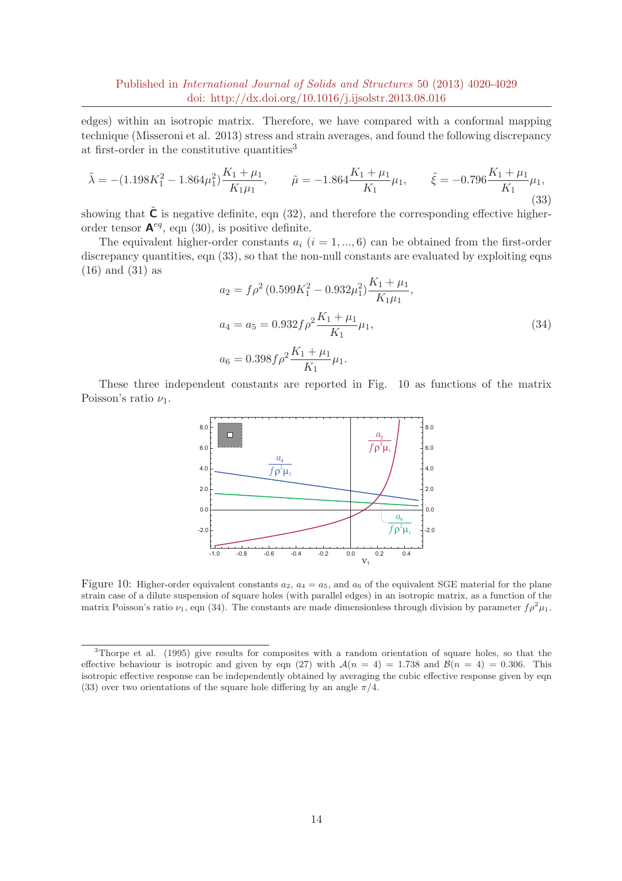edges) within an isotropic matrix. Therefore, we have compared with a conformal mapping technique (Misseroni et al. 2013) stress and strain averages, and found the following discrepancy at first-order in the constitutive quantities<sup>3</sup>

$$
\tilde{\lambda} = -(1.198K_1^2 - 1.864\mu_1^2)\frac{K_1 + \mu_1}{K_1\mu_1}, \qquad \tilde{\mu} = -1.864\frac{K_1 + \mu_1}{K_1}\mu_1, \qquad \tilde{\xi} = -0.796\frac{K_1 + \mu_1}{K_1}\mu_1,\tag{33}
$$

showing that  $\tilde{\mathbf{C}}$  is negative definite, eqn (32), and therefore the corresponding effective higherorder tensor  $\mathbf{A}^{eq}$ , eqn (30), is positive definite.

The equivalent higher-order constants  $a_i$  ( $i = 1, ..., 6$ ) can be obtained from the first-order discrepancy quantities, eqn (33), so that the non-null constants are evaluated by exploiting eqns (16) and (31) as

$$
a_2 = f\rho^2 (0.599K_1^2 - 0.932\mu_1^2) \frac{K_1 + \mu_1}{K_1\mu_1},
$$
  
\n
$$
a_4 = a_5 = 0.932f\rho^2 \frac{K_1 + \mu_1}{K_1}\mu_1,
$$
  
\n
$$
a_6 = 0.398f\rho^2 \frac{K_1 + \mu_1}{K_1}\mu_1.
$$
\n(34)

These three independent constants are reported in Fig. 10 as functions of the matrix Poisson's ratio  $\nu_1$ .



Figure 10: Higher-order equivalent constants  $a_2$ ,  $a_4 = a_5$ , and  $a_6$  of the equivalent SGE material for the plane strain case of a dilute suspension of square holes (with parallel edges) in an isotropic matrix, as a function of the matrix Poisson's ratio  $\nu_1$ , eqn (34). The constants are made dimensionless through division by parameter  $f \rho^2 \mu_1$ .

<sup>&</sup>lt;sup>3</sup>Thorpe et al. (1995) give results for composites with a random orientation of square holes, so that the effective behaviour is isotropic and given by eqn (27) with  $\mathcal{A}(n = 4) = 1.738$  and  $\mathcal{B}(n = 4) = 0.306$ . This isotropic effective response can be independently obtained by averaging the cubic effective response given by eqn (33) over two orientations of the square hole differing by an angle  $\pi/4$ .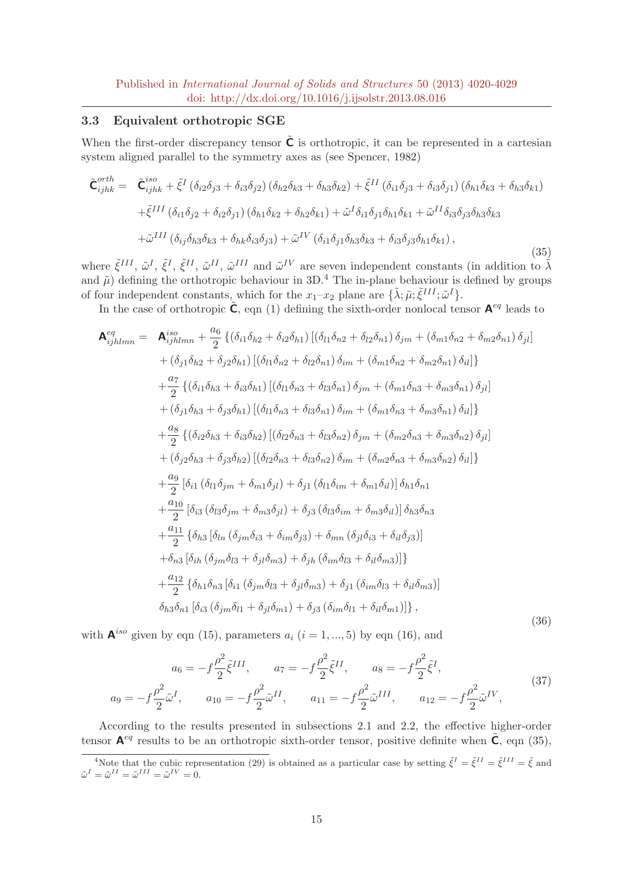### 3.3 Equivalent orthotropic SGE

When the first-order discrepancy tensor  $\tilde{C}$  is orthotropic, it can be represented in a cartesian system aligned parallel to the symmetry axes as (see Spencer, 1982)

$$
\tilde{\mathbf{C}}_{ijhk}^{orth} = \tilde{\mathbf{C}}_{ijhk}^{iso} + \tilde{\xi}^{I} \left( \delta_{i2} \delta_{j3} + \delta_{i3} \delta_{j2} \right) \left( \delta_{h2} \delta_{k3} + \delta_{h3} \delta_{k2} \right) + \tilde{\xi}^{II} \left( \delta_{i1} \delta_{j3} + \delta_{i3} \delta_{j1} \right) \left( \delta_{h1} \delta_{k3} + \delta_{h3} \delta_{k1} \right)
$$
\n
$$
+ \tilde{\xi}^{III} \left( \delta_{i1} \delta_{j2} + \delta_{i2} \delta_{j1} \right) \left( \delta_{h1} \delta_{k2} + \delta_{h2} \delta_{k1} \right) + \tilde{\omega}^{I} \delta_{i1} \delta_{j1} \delta_{h1} \delta_{k1} + \tilde{\omega}^{II} \delta_{i3} \delta_{j3} \delta_{h3} \delta_{k3}
$$
\n
$$
+ \tilde{\omega}^{III} \left( \delta_{ij} \delta_{h3} \delta_{k3} + \delta_{hk} \delta_{i3} \delta_{j3} \right) + \tilde{\omega}^{IV} \left( \delta_{i1} \delta_{j1} \delta_{h3} \delta_{k3} + \delta_{i3} \delta_{j3} \delta_{h1} \delta_{k1} \right),
$$
\n(35)

where  $\tilde{\xi}^{III}$ ,  $\tilde{\omega}^{I}$ ,  $\tilde{\xi}^{II}$ ,  $\tilde{\omega}^{II}$ ,  $\tilde{\omega}^{III}$  and  $\tilde{\omega}^{IV}$  are seven independent constants (in addition to  $\tilde{\lambda}$ and  $\tilde{\mu}$ ) defining the orthotropic behaviour in 3D.<sup>4</sup> The in-plane behaviour is defined by groups of four independent constants, which for the  $x_1-x_2$  plane are  $\{\tilde{\lambda}; \tilde{\mu}; \tilde{\xi}^{III}; \tilde{\omega}^I\}$ .

In the case of orthotropic  $\tilde{\mathsf{C}}$ , eqn (1) defining the sixth-order nonlocal tensor  $\mathsf{A}^{eq}$  leads to

$$
\mathbf{A}_{ijklmn}^{eq} = \mathbf{A}_{ijklmn}^{iso} + \frac{a_6}{2} \{ (\delta_{i1}\delta_{h2} + \delta_{i2}\delta_{h1}) [(\delta_{l1}\delta_{n2} + \delta_{l2}\delta_{n1}) \delta_{jm} + (\delta_{m1}\delta_{n2} + \delta_{m2}\delta_{n1}) \delta_{jl}] + (\delta_{j1}\delta_{h2} + \delta_{j2}\delta_{h1}) [(\delta_{l1}\delta_{n2} + \delta_{l2}\delta_{n1}) \delta_{im} + (\delta_{m1}\delta_{n2} + \delta_{m2}\delta_{n1}) \delta_{il}] + \frac{a_7}{2} \{ (\delta_{i1}\delta_{h3} + \delta_{i3}\delta_{h1}) [(\delta_{l1}\delta_{n3} + \delta_{l3}\delta_{n1}) \delta_{jm} + (\delta_{m1}\delta_{n3} + \delta_{m3}\delta_{n1}) \delta_{jl}] + (\delta_{j1}\delta_{h3} + \delta_{j3}\delta_{h1}) [(\delta_{l1}\delta_{n3} + \delta_{l3}\delta_{n1}) \delta_{im} + (\delta_{m1}\delta_{n3} + \delta_{m3}\delta_{n1}) \delta_{il}] + \frac{a_8}{2} \{ (\delta_{i2}\delta_{h3} + \delta_{i3}\delta_{h2}) [(\delta_{l2}\delta_{n3} + \delta_{l3}\delta_{n2}) \delta_{jm} + (\delta_{m2}\delta_{n3} + \delta_{m3}\delta_{n2}) \delta_{jl}] + (\delta_{j2}\delta_{h3} + \delta_{j3}\delta_{h2}) [(\delta_{l2}\delta_{n3} + \delta_{l3}\delta_{n2}) \delta_{im} + (\delta_{m2}\delta_{n3} + \delta_{m3}\delta_{n2}) \delta_{il}] + \frac{a_9}{2} [\delta_{i1} (\delta_{l1}\delta_{jm} + \delta_{m1}\delta_{jl}) + \delta_{j1} (\delta_{l1}\delta_{im} + \delta_{m1}\delta_{il})] \delta_{h1}\delta_{n1} + \frac{a_{10}}{2} [\delta_{i3} (\delta_{l3}\delta_{jm} + \delta_{m3}\delta_{jl}) + \delta_{j3} (\delta_{l3}\delta_{im} + \delta_{m3}\delta_{il})] \delta_{h3}\delta_{n3} + \frac{a_{11}}{2} \{ \delta_{h3} [\delta_{ln} (\delta_{jm}\delta_{i3} + \delta
$$

with  $\mathbf{A}^{iso}$  given by eqn (15), parameters  $a_i$  ( $i = 1, ..., 5$ ) by eqn (16), and

$$
a_6 = -f\frac{\rho^2}{2}\tilde{\xi}^{III}, \qquad a_7 = -f\frac{\rho^2}{2}\tilde{\xi}^{II}, \qquad a_8 = -f\frac{\rho^2}{2}\tilde{\xi}^I,
$$
  

$$
a_9 = -f\frac{\rho^2}{2}\tilde{\omega}^I, \qquad a_{10} = -f\frac{\rho^2}{2}\tilde{\omega}^{II}, \qquad a_{11} = -f\frac{\rho^2}{2}\tilde{\omega}^{III}, \qquad a_{12} = -f\frac{\rho^2}{2}\tilde{\omega}^{IV},
$$

$$
(37)
$$

According to the results presented in subsections 2.1 and 2.2, the effective higher-order tensor  $\mathsf{A}^{eq}$  results to be an orthotropic sixth-order tensor, positive definite when  $\tilde{\mathsf{C}}$ , eqn (35),

<sup>&</sup>lt;sup>4</sup>Note that the cubic representation (29) is obtained as a particular case by setting  $\tilde{\xi}^I = \tilde{\xi}^{II} = \tilde{\xi}^{III} = \tilde{\xi}$  and  $\tilde{\omega}^{I} = \tilde{\omega}^{II} = \tilde{\omega}^{III} = \tilde{\omega}^{IV} = 0.$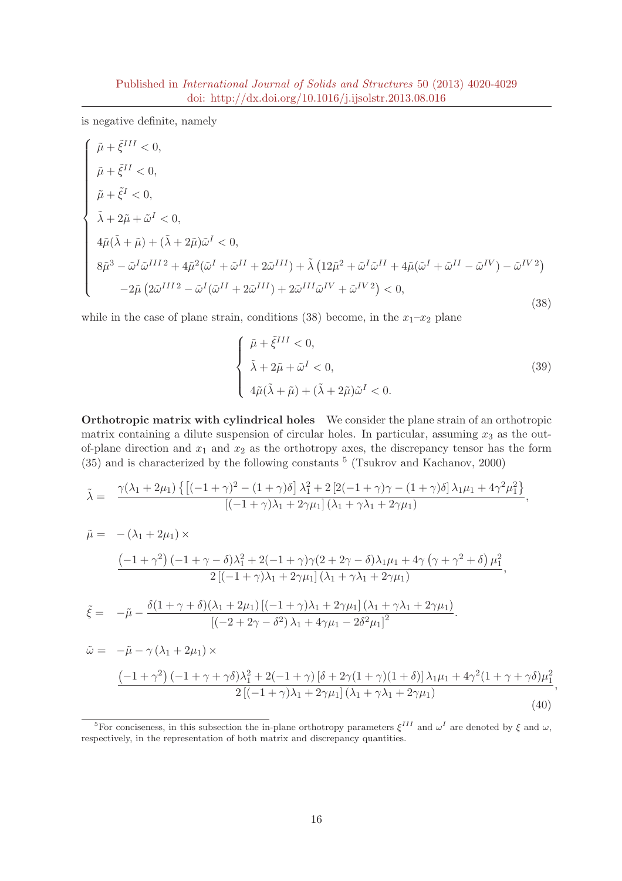is negative definite, namely

$$
\begin{cases}\n\tilde{\mu} + \tilde{\xi}^{III} < 0, \\
\tilde{\mu} + \tilde{\xi}^{II} < 0, \\
\tilde{\mu} + \tilde{\xi}^{I} < 0, \\
\tilde{\lambda} + 2\tilde{\mu} + \tilde{\omega}^{I} < 0, \\
4\tilde{\mu}(\tilde{\lambda} + \tilde{\mu}) + (\tilde{\lambda} + 2\tilde{\mu})\tilde{\omega}^{I} < 0, \\
8\tilde{\mu}^{3} - \tilde{\omega}^{I}\tilde{\omega}^{III2} + 4\tilde{\mu}^{2}(\tilde{\omega}^{I} + \tilde{\omega}^{II} + 2\tilde{\omega}^{III}) + \tilde{\lambda}\left(12\tilde{\mu}^{2} + \tilde{\omega}^{I}\tilde{\omega}^{II} + 4\tilde{\mu}(\tilde{\omega}^{I} + \tilde{\omega}^{II} - \tilde{\omega}^{IV}) - \tilde{\omega}^{IV}\right) \\
-2\tilde{\mu}\left(2\tilde{\omega}^{III2} - \tilde{\omega}^{I}(\tilde{\omega}^{II} + 2\tilde{\omega}^{III}) + 2\tilde{\omega}^{III}\tilde{\omega}^{IV} + \tilde{\omega}^{IV}\right) < 0,\n\end{cases} \tag{38}
$$

while in the case of plane strain, conditions (38) become, in the  $x_1-x_2$  plane

$$
\begin{cases} \tilde{\mu} + \tilde{\xi}^{III} < 0, \\ \tilde{\lambda} + 2\tilde{\mu} + \tilde{\omega}^{I} < 0, \\ 4\tilde{\mu}(\tilde{\lambda} + \tilde{\mu}) + (\tilde{\lambda} + 2\tilde{\mu})\tilde{\omega}^{I} < 0. \end{cases} \tag{39}
$$

,

(40)

Orthotropic matrix with cylindrical holes We consider the plane strain of an orthotropic matrix containing a dilute suspension of circular holes. In particular, assuming  $x_3$  as the outof-plane direction and  $x_1$  and  $x_2$  as the orthotropy axes, the discrepancy tensor has the form  $(35)$  and is characterized by the following constants  $<sup>5</sup>$  (Tsukrov and Kachanov, 2000)</sup>

$$
\tilde{\lambda} = \frac{\gamma(\lambda_1 + 2\mu_1) \left\{ \left[ (-1 + \gamma)^2 - (1 + \gamma)\delta \right] \lambda_1^2 + 2 \left[ 2(-1 + \gamma)\gamma - (1 + \gamma)\delta \right] \lambda_1 \mu_1 + 4\gamma^2 \mu_1^2 \right\}}{\left[ (-1 + \gamma)\lambda_1 + 2\gamma \mu_1 \right] (\lambda_1 + \gamma \lambda_1 + 2\gamma \mu_1)},
$$

$$
\tilde{\mu} = -(\lambda_1 + 2\mu_1) \times
$$
\n
$$
\frac{(-1 + \gamma^2)(-1 + \gamma - \delta)\lambda_1^2 + 2(-1 + \gamma)\gamma(2 + 2\gamma - \delta)\lambda_1\mu_1 + 4\gamma(\gamma + \gamma^2 + \delta)\mu_1^2}{2[(-1 + \gamma)\lambda_1 + 2\gamma\mu_1](\lambda_1 + \gamma\lambda_1 + 2\gamma\mu_1)},
$$
\n
$$
\tilde{\xi} = -\tilde{\mu} - \frac{\delta(1 + \gamma + \delta)(\lambda_1 + 2\mu_1)[(-1 + \gamma)\lambda_1 + 2\gamma\mu_1](\lambda_1 + \gamma\lambda_1 + 2\gamma\mu_1)}{[(-2 + 2\gamma - \delta^2)\lambda_1 + 4\gamma\mu_1 - 2\delta^2\mu_1]^2}.
$$
\n
$$
\tilde{\omega} = -\tilde{\mu} - \gamma(\lambda_1 + 2\mu_1) \times
$$
\n
$$
\frac{(-1 + \gamma^2)(-1 + \gamma + \gamma\delta)\lambda_1^2 + 2(-1 + \gamma)[\delta + 2\gamma(1 + \gamma)(1 + \delta)]\lambda_1\mu_1 + 4\gamma^2(1 + \gamma + \gamma\delta)\mu_1^2}{2[(-1 + \gamma)\lambda_1 + 2\gamma\mu_1](\lambda_1 + \gamma\lambda_1 + 2\gamma\mu_1)}
$$
\n(12)

<sup>&</sup>lt;sup>5</sup>For conciseness, in this subsection the in-plane orthotropy parameters  $\xi^{III}$  and  $\omega^{I}$  are denoted by  $\xi$  and  $\omega$ , respectively, in the representation of both matrix and discrepancy quantities.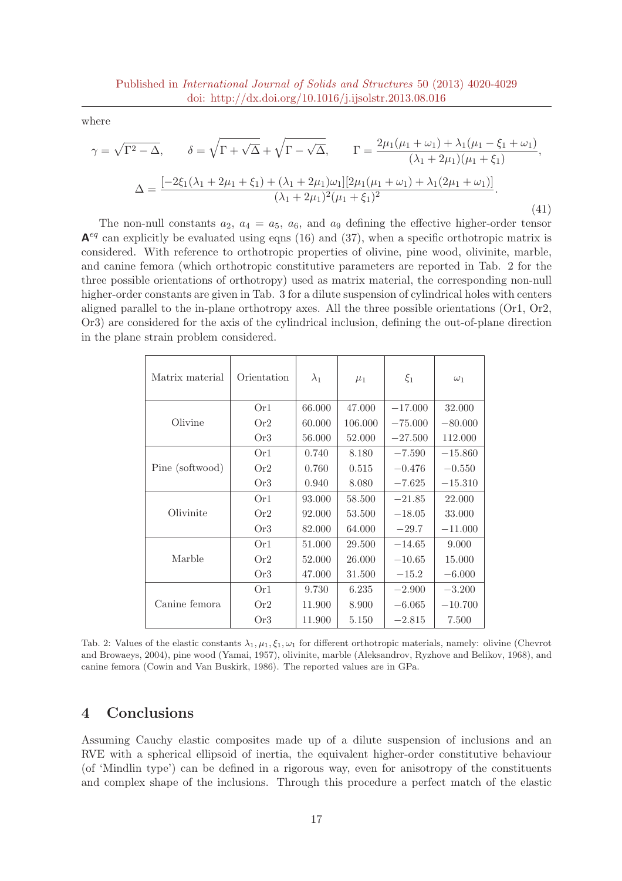where

$$
\gamma = \sqrt{\Gamma^2 - \Delta}, \qquad \delta = \sqrt{\Gamma + \sqrt{\Delta}} + \sqrt{\Gamma - \sqrt{\Delta}}, \qquad \Gamma = \frac{2\mu_1(\mu_1 + \omega_1) + \lambda_1(\mu_1 - \xi_1 + \omega_1)}{(\lambda_1 + 2\mu_1)(\mu_1 + \xi_1)},
$$

$$
\Delta = \frac{[-2\xi_1(\lambda_1 + 2\mu_1 + \xi_1) + (\lambda_1 + 2\mu_1)\omega_1][2\mu_1(\mu_1 + \omega_1) + \lambda_1(2\mu_1 + \omega_1)]}{(\lambda_1 + 2\mu_1)^2(\mu_1 + \xi_1)^2}.
$$
(41)

The non-null constants  $a_2$ ,  $a_4 = a_5$ ,  $a_6$ , and  $a_9$  defining the effective higher-order tensor  $A^{eq}$  can explicitly be evaluated using eqns (16) and (37), when a specific orthotropic matrix is considered. With reference to orthotropic properties of olivine, pine wood, olivinite, marble, and canine femora (which orthotropic constitutive parameters are reported in Tab. 2 for the three possible orientations of orthotropy) used as matrix material, the corresponding non-null higher-order constants are given in Tab. 3 for a dilute suspension of cylindrical holes with centers aligned parallel to the in-plane orthotropy axes. All the three possible orientations (Or1, Or2, Or3) are considered for the axis of the cylindrical inclusion, defining the out-of-plane direction in the plane strain problem considered.

| Matrix material | Orientation | $\lambda_1$ | $\mu_1$ | $\xi_1$   | $\omega_1$ |
|-----------------|-------------|-------------|---------|-----------|------------|
| Olivine         | Or1         | 66.000      | 47.000  | $-17.000$ | 32.000     |
|                 | Or2         | 60.000      | 106.000 | $-75.000$ | $-80.000$  |
|                 | Or3         | 56.000      | 52.000  | $-27.500$ | 112.000    |
| Pine (softwood) | Or1         | 0.740       | 8.180   | $-7.590$  | $-15.860$  |
|                 | Or2         | 0.760       | 0.515   | $-0.476$  | $-0.550$   |
|                 | Or3         | 0.940       | 8.080   | $-7.625$  | $-15.310$  |
| Olivinite       | Or1         | 93.000      | 58.500  | $-21.85$  | 22.000     |
|                 | Or2         | 92.000      | 53.500  | $-18.05$  | 33.000     |
|                 | Or3         | 82.000      | 64.000  | $-29.7$   | $-11.000$  |
| Marble          | Or1         | 51.000      | 29.500  | $-14.65$  | 9.000      |
|                 | Or2         | 52.000      | 26.000  | $-10.65$  | 15.000     |
|                 | Or3         | 47.000      | 31.500  | $-15.2$   | $-6.000$   |
| Canine femora   | Or1         | 9.730       | 6.235   | $-2.900$  | $-3.200$   |
|                 | Or2         | 11.900      | 8.900   | $-6.065$  | $-10.700$  |
|                 | Or3         | 11.900      | 5.150   | $-2.815$  | 7.500      |

Tab. 2: Values of the elastic constants  $\lambda_1, \mu_1, \xi_1, \omega_1$  for different orthotropic materials, namely: olivine (Chevrot and Browaeys, 2004), pine wood (Yamai, 1957), olivinite, marble (Aleksandrov, Ryzhove and Belikov, 1968), and canine femora (Cowin and Van Buskirk, 1986). The reported values are in GPa.

## 4 Conclusions

Assuming Cauchy elastic composites made up of a dilute suspension of inclusions and an RVE with a spherical ellipsoid of inertia, the equivalent higher-order constitutive behaviour (of 'Mindlin type') can be defined in a rigorous way, even for anisotropy of the constituents and complex shape of the inclusions. Through this procedure a perfect match of the elastic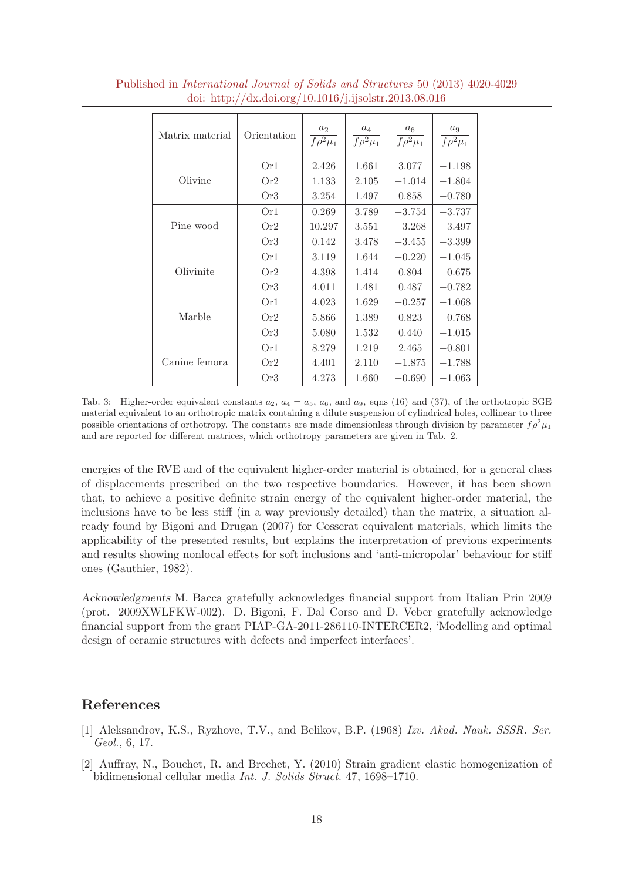| Matrix material | Orientation     | $a_2$<br>$f\rho^2\mu_1$ | $a_4$<br>$f\rho^2\mu_1$ | $a_6$<br>$f\rho^2\mu_1$ | $a_9$<br>$f\rho^2\mu_1$ |
|-----------------|-----------------|-------------------------|-------------------------|-------------------------|-------------------------|
| Olivine         | Or1             | 2.426                   | 1.661                   | 3.077                   | $-1.198$                |
|                 | Or2             | 1.133                   | 2.105                   | $-1.014$                | $-1.804$                |
|                 | Or3             | 3.254                   | 1.497                   | 0.858                   | $-0.780$                |
| Pine wood       | Or1             | 0.269                   | 3.789                   | $-3.754$                | $-3.737$                |
|                 | Or2             | 10.297                  | 3.551                   | $-3.268$                | $-3.497$                |
|                 | Or3             | 0.142                   | 3.478                   | $-3.455$                | $-3.399$                |
| Olivinite       | Or1             | 3.119                   | 1.644                   | $-0.220$                | $-1.045$                |
|                 | Or2             | 4.398                   | 1.414                   | 0.804                   | $-0.675$                |
|                 | Or <sub>3</sub> | 4.011                   | 1.481                   | 0.487                   | $-0.782$                |
| Marble          | Or1             | 4.023                   | 1.629                   | $-0.257$                | $-1.068$                |
|                 | Or2             | 5.866                   | 1.389                   | 0.823                   | $-0.768$                |
|                 | Or3             | 5.080                   | 1.532                   | 0.440                   | $-1.015$                |
| Canine femora   | Or1             | 8.279                   | 1.219                   | 2.465                   | $-0.801$                |
|                 | Or2             | 4.401                   | 2.110                   | $-1.875$                | $-1.788$                |
|                 | Or3             | 4.273                   | 1.660                   | $-0.690$                | $-1.063$                |

Published in International Journal of Solids and Structures 50 (2013) 4020-4029 doi: http://dx.doi.org/10.1016/j.ijsolstr.2013.08.016

Tab. 3: Higher-order equivalent constants  $a_2$ ,  $a_4 = a_5$ ,  $a_6$ , and  $a_9$ , eqns (16) and (37), of the orthotropic SGE material equivalent to an orthotropic matrix containing a dilute suspension of cylindrical holes, collinear to three possible orientations of orthotropy. The constants are made dimensionless through division by parameter  $f \rho^2 \mu_1$ and are reported for different matrices, which orthotropy parameters are given in Tab. 2.

energies of the RVE and of the equivalent higher-order material is obtained, for a general class of displacements prescribed on the two respective boundaries. However, it has been shown that, to achieve a positive definite strain energy of the equivalent higher-order material, the inclusions have to be less stiff (in a way previously detailed) than the matrix, a situation already found by Bigoni and Drugan (2007) for Cosserat equivalent materials, which limits the applicability of the presented results, but explains the interpretation of previous experiments and results showing nonlocal effects for soft inclusions and 'anti-micropolar' behaviour for stiff ones (Gauthier, 1982).

Acknowledgments M. Bacca gratefully acknowledges financial support from Italian Prin 2009 (prot. 2009XWLFKW-002). D. Bigoni, F. Dal Corso and D. Veber gratefully acknowledge financial support from the grant PIAP-GA-2011-286110-INTERCER2, 'Modelling and optimal design of ceramic structures with defects and imperfect interfaces'.

### References

- [1] Aleksandrov, K.S., Ryzhove, T.V., and Belikov, B.P. (1968) Izv. Akad. Nauk. SSSR. Ser. Geol., 6, 17.
- [2] Auffray, N., Bouchet, R. and Brechet, Y. (2010) Strain gradient elastic homogenization of bidimensional cellular media Int. J. Solids Struct. 47, 1698–1710.